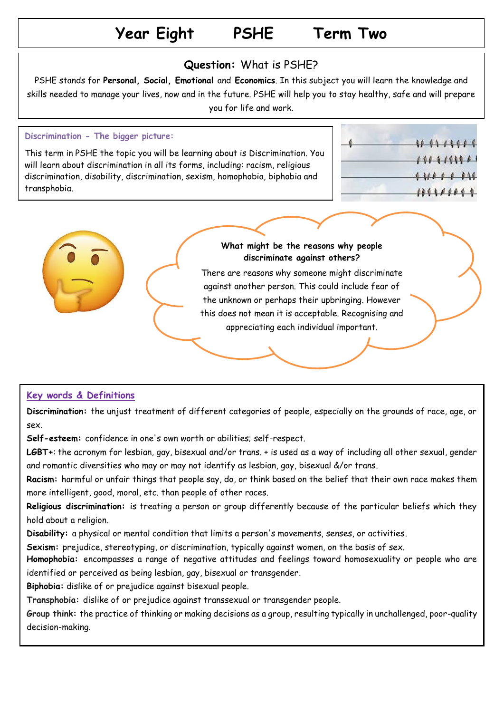### **Year Eight PSHE Term Two**

#### **Question:** What is PSHE?

PSHE stands for **Personal, Social, Emotional** and **Economics**. In this subject you will learn the knowledge and skills needed to manage your lives, now and in the future. PSHE will help you to stay healthy, safe and will prepare you for life and work.

### **Discrimination - The bigger picture:**

This term in PSHE the topic you will be learning about is Discrimination. You will learn about discrimination in all its forms, including: racism, religious discrimination, disability, discrimination, sexism, homophobia, biphobia and transphobia.

|  | 11111111   |
|--|------------|
|  | 191919900  |
|  | 111111111  |
|  | 1111111111 |



#### **What might be the reasons why people discriminate against others?**

There are reasons why someone might discriminate against another person. This could include fear of the unknown or perhaps their upbringing. However this does not mean it is acceptable. Recognising and appreciating each individual important.

#### **Key words & Definitions**

**Discrimination:** the unjust treatment of different categories of people, especially on the grounds of race, age, or sex.

**Self-esteem:** confidence in one's own worth or abilities; self-respect.

**LGBT+**: the acronym for lesbian, gay, bisexual and/or trans. + is used as a way of including all other sexual, gender and romantic diversities who may or may not identify as lesbian, gay, bisexual &/or trans.

**Racism:** [harmful](https://dictionary.cambridge.org/dictionary/english/harm) or [unfair](https://dictionary.cambridge.org/dictionary/english/unfair) things that [people](https://dictionary.cambridge.org/dictionary/english/people) say, do, or [think](https://dictionary.cambridge.org/dictionary/english/think) [based](https://dictionary.cambridge.org/dictionary/english/based) on the [belief](https://dictionary.cambridge.org/dictionary/english/belief) that [their](https://dictionary.cambridge.org/dictionary/english/their) own [race](https://dictionary.cambridge.org/dictionary/english/race) makes them more [intelligent,](https://dictionary.cambridge.org/dictionary/english/intelligent) good, [moral,](https://dictionary.cambridge.org/dictionary/english/moral) etc. than [people](https://dictionary.cambridge.org/dictionary/english/people) of other [races.](https://dictionary.cambridge.org/dictionary/english/race)

**Religious discrimination:** is treating a person or group differently because of the particular beliefs which they hold about a religion.

**Disability:** a physical or mental condition that limits a person's movements, senses, or activities.

1. **Sexism:** prejudice, stereotyping, or discrimination, typically against women, on the basis of sex.

**Homophobia:** encompasses a range of negative attitudes and feelings toward homosexuality or people who are identified or perceived as being lesbian, gay, bisexual or transgender.

**Biphobia:** dislike of or prejudice against bisexual people.

**Transphobia:** dislike of or prejudice against transsexual or transgender people.

**Group think:** the practice of thinking or making decisions as a group, resulting typically in unchallenged, poor-quality decision-making.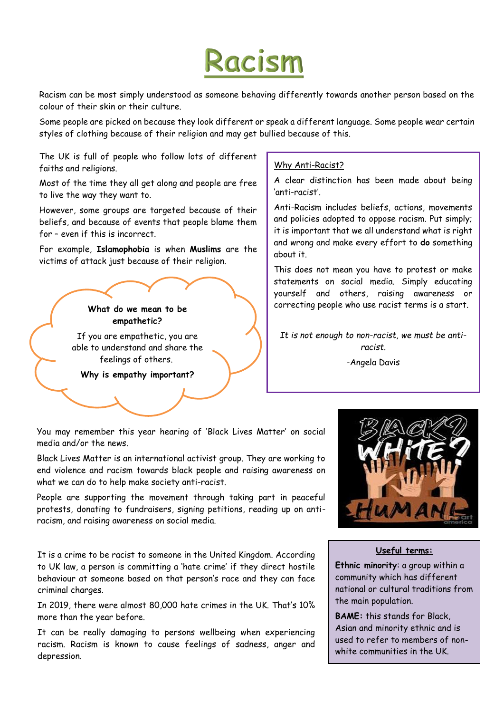# Racism

Racism can be most simply understood as someone behaving differently towards another person based on the colour of their skin or their culture.

Some people are picked on because they look different or speak a different language. Some people wear certain styles of clothing because of their religion and may get bullied because of this.

The UK is full of people who follow lots of different faiths and religions.

Most of the time they all get along and people are free to live the way they want to.

However, some groups are targeted because of their beliefs, and because of events that people blame them for – even if this is incorrect.

For example, **Islamophobia** is when **Muslims** are the victims of attack just because of their religion.



feelings of others.

**Why is empathy important?** 

#### Why Anti-Racist?

A clear distinction has been made about being 'anti-racist'.

Anti-Racism includes beliefs, actions, movements and policies adopted to oppose racism. Put simply; it is important that we all understand what is right and wrong and make every effort to **do** something about it.

This does not mean you have to protest or make statements on social media. Simply educating yourself and others, raising awareness or correcting people who use racist terms is a start.

*It is not enough to non-racist, we must be antiracist.*

-Angela Davis

You may remember this year hearing of 'Black Lives Matter' on social media and/or the news.

Black Lives Matter is an international activist group. They are working to end violence and racism towards black people and raising awareness on what we can do to help make society anti-racist.

People are supporting the movement through taking part in peaceful protests, donating to fundraisers, signing petitions, reading up on antiracism, and raising awareness on social media.

It is a crime to be racist to someone in the United Kingdom. According to UK law, a person is committing a 'hate crime' if they direct hostile behaviour at someone based on that person's race and they can face criminal charges.

In 2019, there were almost 80,000 hate crimes in the UK. That's 10% more than the year before.

It can be really damaging to persons wellbeing when experiencing racism. Racism is known to cause feelings of sadness, anger and depression.



#### **Useful terms:**

**Ethnic minority**: a group within a community which has different national or cultural traditions from the main population.

**BAME:** this stands for Black, Asian and minority ethnic and is used to refer to members of nonwhite communities in the UK.